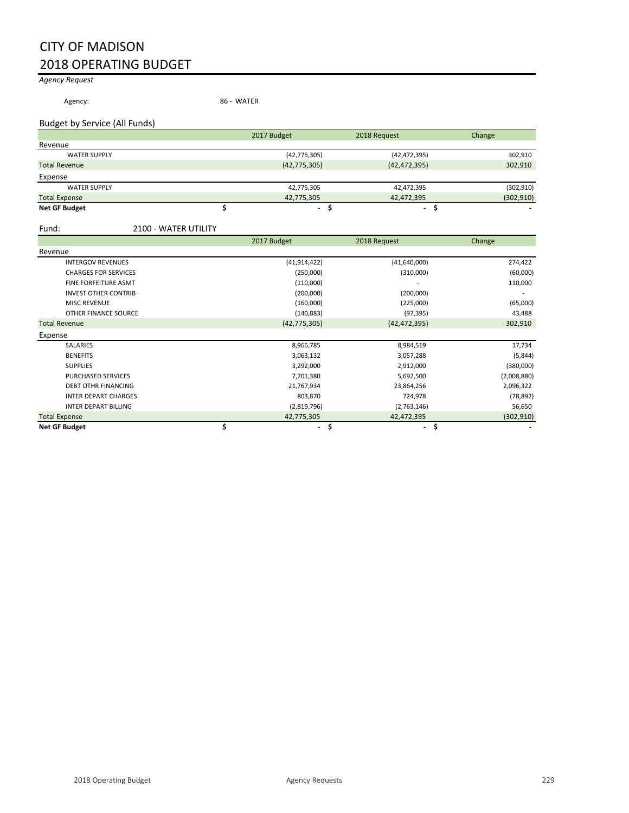# CITY OF MADISON 2018 OPERATING BUDGET

## *Agency Request*

Agency: 86 - WATER

Budget by Service (All Funds)

|                      | 2017 Budget    | 2018 Request   | Change     |
|----------------------|----------------|----------------|------------|
| Revenue              |                |                |            |
| <b>WATER SUPPLY</b>  | (42, 775, 305) | (42, 472, 395) | 302,910    |
| <b>Total Revenue</b> | (42, 775, 305) | (42, 472, 395) | 302,910    |
| Expense              |                |                |            |
| <b>WATER SUPPLY</b>  | 42,775,305     | 42,472,395     | (302, 910) |
| <b>Total Expense</b> | 42,775,305     | 42,472,395     | (302, 910) |
| <b>Net GF Budget</b> | ٠              | ٠              | -          |

Fund: 2100 - WATER UTILITY

|                             | 2017 Budget              | 2018 Request                   | Change      |
|-----------------------------|--------------------------|--------------------------------|-------------|
| Revenue                     |                          |                                |             |
| <b>INTERGOV REVENUES</b>    | (41, 914, 422)           | (41,640,000)                   | 274,422     |
| <b>CHARGES FOR SERVICES</b> | (250,000)                | (310,000)                      | (60,000)    |
| FINE FORFEITURE ASMT        | (110,000)                |                                | 110,000     |
| <b>INVEST OTHER CONTRIB</b> | (200,000)                | (200,000)                      |             |
| <b>MISC REVENUE</b>         | (160,000)                | (225,000)                      | (65,000)    |
| OTHER FINANCE SOURCE        | (140, 883)               | (97, 395)                      | 43,488      |
| <b>Total Revenue</b>        | (42, 775, 305)           | (42, 472, 395)                 | 302,910     |
| Expense                     |                          |                                |             |
| <b>SALARIES</b>             | 8,966,785                | 8,984,519                      | 17,734      |
| <b>BENEFITS</b>             | 3,063,132                | 3,057,288                      | (5,844)     |
| <b>SUPPLIES</b>             | 3,292,000                | 2,912,000                      | (380,000)   |
| PURCHASED SERVICES          | 7,701,380                | 5,692,500                      | (2,008,880) |
| <b>DEBT OTHR FINANCING</b>  | 21,767,934               | 23,864,256                     | 2,096,322   |
| <b>INTER DEPART CHARGES</b> | 803,870                  | 724,978                        | (78, 892)   |
| <b>INTER DEPART BILLING</b> | (2,819,796)              | (2,763,146)                    | 56,650      |
| <b>Total Expense</b>        | 42,775,305               | 42,472,395                     | (302, 910)  |
| <b>Net GF Budget</b>        | $\overline{\phantom{a}}$ | \$<br>$\overline{\phantom{a}}$ | \$          |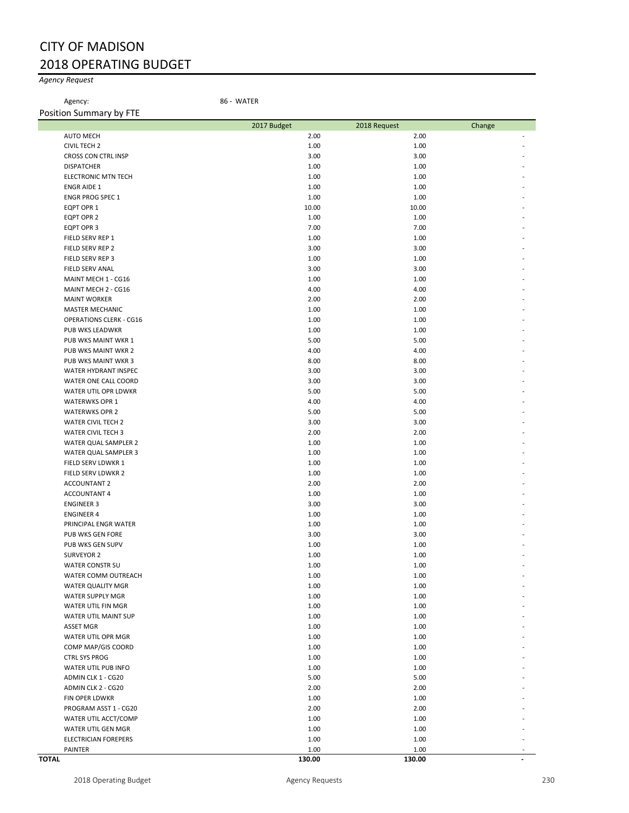# CITY OF MADISON 2018 OPERATING BUDGET

## *Agency Request*

Agency: 86 - WATER

| Position Summary by FTE                                  |              |              |        |
|----------------------------------------------------------|--------------|--------------|--------|
|                                                          | 2017 Budget  | 2018 Request | Change |
| <b>AUTO MECH</b>                                         | 2.00         | 2.00         |        |
| <b>CIVIL TECH 2</b>                                      | 1.00         | 1.00         |        |
| CROSS CON CTRL INSP                                      | 3.00         | 3.00         |        |
| <b>DISPATCHER</b>                                        | 1.00         | 1.00         |        |
| <b>ELECTRONIC MTN TECH</b>                               | 1.00         | 1.00         |        |
| <b>ENGR AIDE 1</b>                                       | 1.00         | 1.00         |        |
| <b>ENGR PROG SPEC 1</b>                                  | 1.00         | 1.00         |        |
| EQPT OPR 1                                               | 10.00        | 10.00        |        |
| EQPT OPR 2                                               | 1.00         | 1.00         |        |
| EQPT OPR 3                                               | 7.00         | 7.00         |        |
| FIELD SERV REP 1                                         | 1.00         | 1.00         |        |
| FIELD SERV REP 2                                         | 3.00         | 3.00         |        |
| FIELD SERV REP 3                                         | 1.00         | 1.00         |        |
| FIELD SERV ANAL                                          | 3.00         | 3.00         |        |
| MAINT MECH 1 - CG16                                      | 1.00         | 1.00         |        |
| MAINT MECH 2 - CG16                                      | 4.00<br>2.00 | 4.00<br>2.00 |        |
| <b>MAINT WORKER</b>                                      |              | 1.00         |        |
| <b>MASTER MECHANIC</b><br><b>OPERATIONS CLERK - CG16</b> | 1.00<br>1.00 | 1.00         |        |
| PUB WKS LEADWKR                                          | 1.00         | 1.00         |        |
| PUB WKS MAINT WKR 1                                      | 5.00         | 5.00         |        |
| PUB WKS MAINT WKR 2                                      | 4.00         | 4.00         |        |
| PUB WKS MAINT WKR 3                                      | 8.00         | 8.00         |        |
| <b>WATER HYDRANT INSPEC</b>                              | 3.00         | 3.00         |        |
| WATER ONE CALL COORD                                     | 3.00         | 3.00         |        |
| WATER UTIL OPR LDWKR                                     | 5.00         | 5.00         |        |
| <b>WATERWKS OPR 1</b>                                    | 4.00         | 4.00         |        |
| <b>WATERWKS OPR 2</b>                                    | 5.00         | 5.00         |        |
| WATER CIVIL TECH 2                                       | 3.00         | 3.00         |        |
| WATER CIVIL TECH 3                                       | 2.00         | 2.00         |        |
| WATER QUAL SAMPLER 2                                     | 1.00         | 1.00         |        |
| WATER QUAL SAMPLER 3                                     | 1.00         | 1.00         |        |
| FIELD SERV LDWKR 1                                       | 1.00         | 1.00         |        |
| FIELD SERV LDWKR 2                                       | 1.00         | 1.00         |        |
| <b>ACCOUNTANT 2</b>                                      | 2.00         | 2.00         |        |
| <b>ACCOUNTANT 4</b>                                      | 1.00         | 1.00         |        |
| <b>ENGINEER 3</b>                                        | 3.00         | 3.00         |        |
| <b>ENGINEER 4</b>                                        | 1.00         | 1.00         |        |
| PRINCIPAL ENGR WATER                                     | 1.00         | 1.00         |        |
| PUB WKS GEN FORE                                         | 3.00         | 3.00         |        |
| PUB WKS GEN SUPV                                         | 1.00         | 1.00         |        |
| SURVEYOR 2                                               | 1.00         | 1.00         |        |
| <b>WATER CONSTR SU</b>                                   | 1.00         | 1.00         |        |
| WATER COMM OUTREACH                                      | 1.00         | 1.00         |        |
| WATER QUALITY MGR                                        | 1.00         | 1.00         |        |
| WATER SUPPLY MGR                                         | 1.00         | 1.00         |        |
| WATER UTIL FIN MGR                                       | 1.00         | 1.00         |        |
| WATER UTIL MAINT SUP                                     | 1.00         | 1.00         |        |
| <b>ASSET MGR</b><br>WATER UTIL OPR MGR                   | 1.00         | 1.00         |        |
|                                                          | 1.00         | 1.00         |        |
| COMP MAP/GIS COORD<br><b>CTRL SYS PROG</b>               | 1.00<br>1.00 | 1.00<br>1.00 |        |
| WATER UTIL PUB INFO                                      | 1.00         | 1.00         |        |
| ADMIN CLK 1 - CG20                                       | 5.00         | 5.00         |        |
| ADMIN CLK 2 - CG20                                       | 2.00         | 2.00         |        |
| FIN OPER LDWKR                                           | 1.00         | 1.00         |        |
| PROGRAM ASST 1 - CG20                                    | 2.00         | 2.00         |        |
| WATER UTIL ACCT/COMP                                     | 1.00         | 1.00         |        |
| WATER UTIL GEN MGR                                       | 1.00         | 1.00         |        |
| <b>ELECTRICIAN FOREPERS</b>                              | 1.00         | 1.00         |        |
| PAINTER                                                  | 1.00         | 1.00         |        |
| <b>TOTAL</b>                                             | 130.00       | 130.00       |        |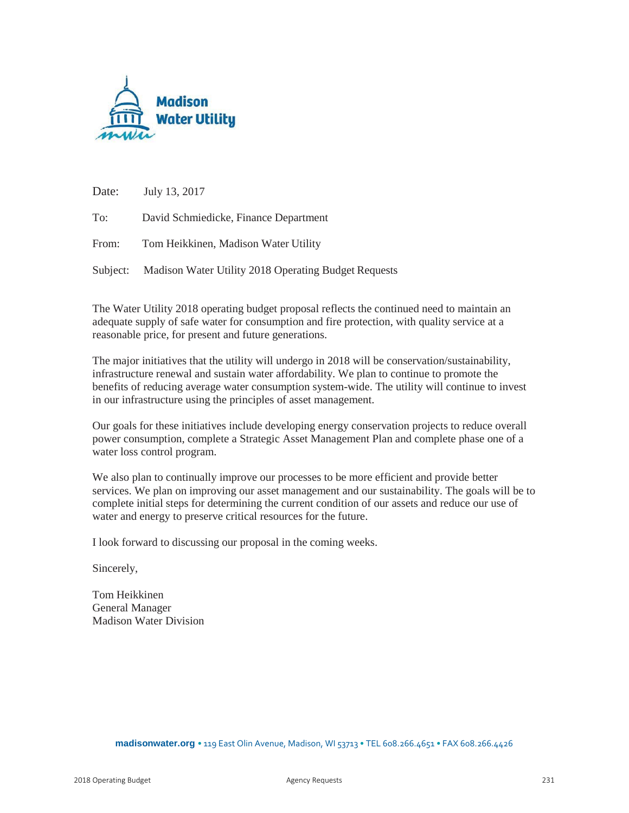

Date: July 13, 2017

To: David Schmiedicke, Finance Department

From: Tom Heikkinen, Madison Water Utility

Subject: Madison Water Utility 2018 Operating Budget Requests

The Water Utility 2018 operating budget proposal reflects the continued need to maintain an adequate supply of safe water for consumption and fire protection, with quality service at a reasonable price, for present and future generations.

The major initiatives that the utility will undergo in 2018 will be conservation/sustainability, infrastructure renewal and sustain water affordability. We plan to continue to promote the benefits of reducing average water consumption system-wide. The utility will continue to invest in our infrastructure using the principles of asset management.

Our goals for these initiatives include developing energy conservation projects to reduce overall power consumption, complete a Strategic Asset Management Plan and complete phase one of a water loss control program.

We also plan to continually improve our processes to be more efficient and provide better services. We plan on improving our asset management and our sustainability. The goals will be to complete initial steps for determining the current condition of our assets and reduce our use of water and energy to preserve critical resources for the future.

I look forward to discussing our proposal in the coming weeks.

Sincerely,

Tom Heikkinen General Manager Madison Water Division

**madisonwater.org** • 119 East Olin Avenue, Madison, WI 53713 • TEL 608.266.4651 • FAX 608.266.4426